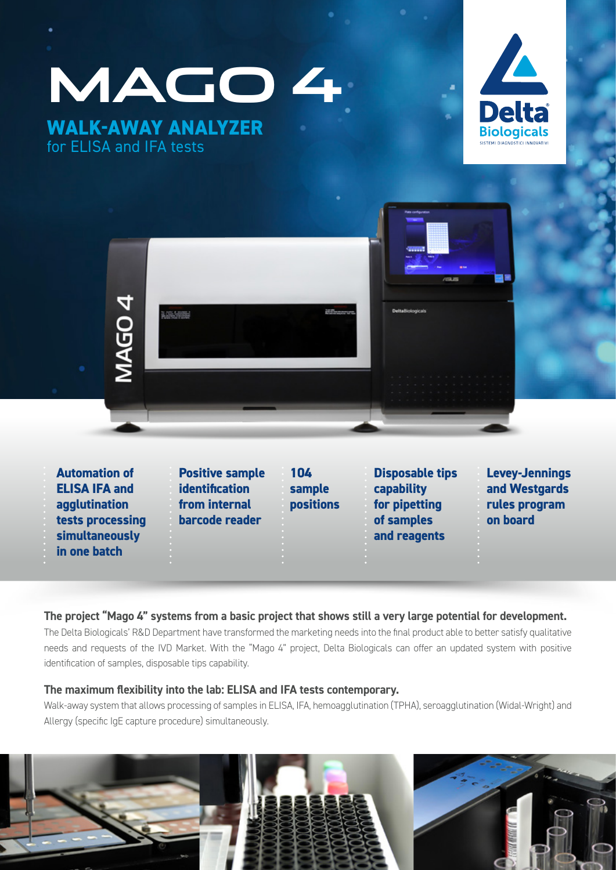**MAGO 4 WALK-AWAY ANALYZER** for ELISA and IFA tests





**Automation of ELISA IFA and agglutination tests processing simultaneously in one batch**

**Positive sample identification from internal barcode reader**

**104 sample positions** **Disposable tips capability for pipetting of samples and reagents**

**Levey-Jennings and Westgards rules program on board**

#### **The project "Mago 4" systems from a basic project that shows still a very large potential for development.**

The Delta Biologicals' R&D Department have transformed the marketing needs into the final product able to better satisfy qualitative needs and requests of the IVD Market. With the "Mago 4" project, Delta Biologicals can offer an updated system with positive identification of samples, disposable tips capability.

#### **The maximum flexibility into the lab: ELISA and IFA tests contemporary.**

Walk-away system that allows processing of samples in ELISA, IFA, hemoagglutination (TPHA), seroagglutination (Widal-Wright) and Allergy (specific IgE capture procedure) simultaneously.